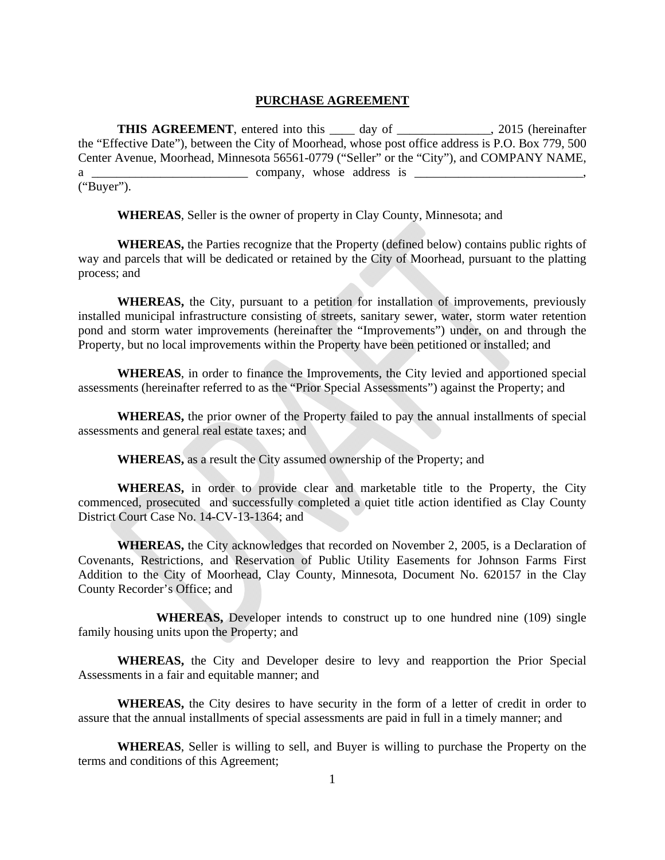#### **PURCHASE AGREEMENT**

**THIS AGREEMENT**, entered into this \_\_\_\_ day of \_\_\_\_\_\_\_\_\_\_\_\_, 2015 (hereinafter the "Effective Date"), between the City of Moorhead, whose post office address is P.O. Box 779, 500 Center Avenue, Moorhead, Minnesota 56561-0779 ("Seller" or the "City"), and COMPANY NAME,  $a \perp$  company, whose address is  $\perp$ ("Buyer").

**WHEREAS**, Seller is the owner of property in Clay County, Minnesota; and

**WHEREAS,** the Parties recognize that the Property (defined below) contains public rights of way and parcels that will be dedicated or retained by the City of Moorhead, pursuant to the platting process; and

**WHEREAS,** the City, pursuant to a petition for installation of improvements, previously installed municipal infrastructure consisting of streets, sanitary sewer, water, storm water retention pond and storm water improvements (hereinafter the "Improvements") under, on and through the Property, but no local improvements within the Property have been petitioned or installed; and

**WHEREAS**, in order to finance the Improvements, the City levied and apportioned special assessments (hereinafter referred to as the "Prior Special Assessments") against the Property; and

**WHEREAS,** the prior owner of the Property failed to pay the annual installments of special assessments and general real estate taxes; and

**WHEREAS,** as a result the City assumed ownership of the Property; and

 **WHEREAS,** in order to provide clear and marketable title to the Property, the City commenced, prosecuted and successfully completed a quiet title action identified as Clay County District Court Case No. 14-CV-13-1364; and

**WHEREAS,** the City acknowledges that recorded on November 2, 2005, is a Declaration of Covenants, Restrictions, and Reservation of Public Utility Easements for Johnson Farms First Addition to the City of Moorhead, Clay County, Minnesota, Document No. 620157 in the Clay County Recorder's Office; and

 **WHEREAS,** Developer intends to construct up to one hundred nine (109) single family housing units upon the Property; and

**WHEREAS,** the City and Developer desire to levy and reapportion the Prior Special Assessments in a fair and equitable manner; and

**WHEREAS,** the City desires to have security in the form of a letter of credit in order to assure that the annual installments of special assessments are paid in full in a timely manner; and

**WHEREAS**, Seller is willing to sell, and Buyer is willing to purchase the Property on the terms and conditions of this Agreement;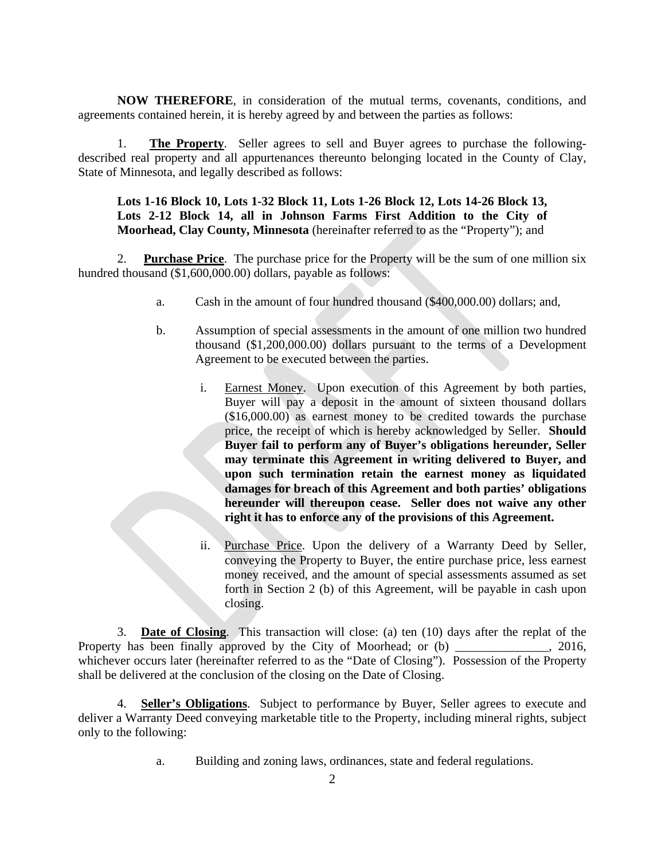**NOW THEREFORE**, in consideration of the mutual terms, covenants, conditions, and agreements contained herein, it is hereby agreed by and between the parties as follows:

1. **The Property**. Seller agrees to sell and Buyer agrees to purchase the followingdescribed real property and all appurtenances thereunto belonging located in the County of Clay, State of Minnesota, and legally described as follows:

### **Lots 1-16 Block 10, Lots 1-32 Block 11, Lots 1-26 Block 12, Lots 14-26 Block 13, Lots 2-12 Block 14, all in Johnson Farms First Addition to the City of Moorhead, Clay County, Minnesota** (hereinafter referred to as the "Property"); and

2. **Purchase Price**. The purchase price for the Property will be the sum of one million six hundred thousand (\$1,600,000.00) dollars, payable as follows:

- a. Cash in the amount of four hundred thousand (\$400,000.00) dollars; and,
- b. Assumption of special assessments in the amount of one million two hundred thousand (\$1,200,000.00) dollars pursuant to the terms of a Development Agreement to be executed between the parties.
	- i. Earnest Money. Upon execution of this Agreement by both parties, Buyer will pay a deposit in the amount of sixteen thousand dollars (\$16,000.00) as earnest money to be credited towards the purchase price, the receipt of which is hereby acknowledged by Seller. **Should Buyer fail to perform any of Buyer's obligations hereunder, Seller may terminate this Agreement in writing delivered to Buyer, and upon such termination retain the earnest money as liquidated damages for breach of this Agreement and both parties' obligations hereunder will thereupon cease. Seller does not waive any other right it has to enforce any of the provisions of this Agreement.**
	- ii. Purchase Price. Upon the delivery of a Warranty Deed by Seller, conveying the Property to Buyer, the entire purchase price, less earnest money received, and the amount of special assessments assumed as set forth in Section 2 (b) of this Agreement, will be payable in cash upon closing.

3. **Date of Closing**. This transaction will close: (a) ten (10) days after the replat of the Property has been finally approved by the City of Moorhead; or (b) \_\_\_\_\_\_\_\_\_\_\_\_, 2016, whichever occurs later (hereinafter referred to as the "Date of Closing"). Possession of the Property shall be delivered at the conclusion of the closing on the Date of Closing.

4. **Seller's Obligations**. Subject to performance by Buyer, Seller agrees to execute and deliver a Warranty Deed conveying marketable title to the Property, including mineral rights, subject only to the following:

a. Building and zoning laws, ordinances, state and federal regulations.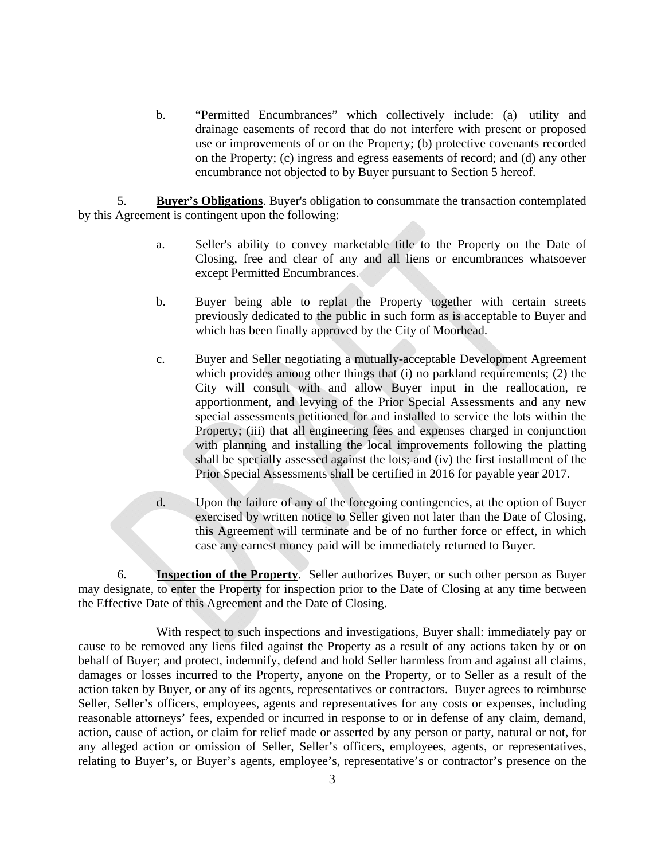b. "Permitted Encumbrances" which collectively include: (a) utility and drainage easements of record that do not interfere with present or proposed use or improvements of or on the Property; (b) protective covenants recorded on the Property; (c) ingress and egress easements of record; and (d) any other encumbrance not objected to by Buyer pursuant to Section 5 hereof.

5. **Buyer's Obligations**. Buyer's obligation to consummate the transaction contemplated by this Agreement is contingent upon the following:

- a. Seller's ability to convey marketable title to the Property on the Date of Closing, free and clear of any and all liens or encumbrances whatsoever except Permitted Encumbrances.
- b. Buyer being able to replat the Property together with certain streets previously dedicated to the public in such form as is acceptable to Buyer and which has been finally approved by the City of Moorhead.
- c. Buyer and Seller negotiating a mutually-acceptable Development Agreement which provides among other things that (i) no parkland requirements; (2) the City will consult with and allow Buyer input in the reallocation, re apportionment, and levying of the Prior Special Assessments and any new special assessments petitioned for and installed to service the lots within the Property; (iii) that all engineering fees and expenses charged in conjunction with planning and installing the local improvements following the platting shall be specially assessed against the lots; and (iv) the first installment of the Prior Special Assessments shall be certified in 2016 for payable year 2017.
- d. Upon the failure of any of the foregoing contingencies, at the option of Buyer exercised by written notice to Seller given not later than the Date of Closing, this Agreement will terminate and be of no further force or effect, in which case any earnest money paid will be immediately returned to Buyer.

6. **Inspection of the Property**. Seller authorizes Buyer, or such other person as Buyer may designate, to enter the Property for inspection prior to the Date of Closing at any time between the Effective Date of this Agreement and the Date of Closing.

 With respect to such inspections and investigations, Buyer shall: immediately pay or cause to be removed any liens filed against the Property as a result of any actions taken by or on behalf of Buyer; and protect, indemnify, defend and hold Seller harmless from and against all claims, damages or losses incurred to the Property, anyone on the Property, or to Seller as a result of the action taken by Buyer, or any of its agents, representatives or contractors. Buyer agrees to reimburse Seller, Seller's officers, employees, agents and representatives for any costs or expenses, including reasonable attorneys' fees, expended or incurred in response to or in defense of any claim, demand, action, cause of action, or claim for relief made or asserted by any person or party, natural or not, for any alleged action or omission of Seller, Seller's officers, employees, agents, or representatives, relating to Buyer's, or Buyer's agents, employee's, representative's or contractor's presence on the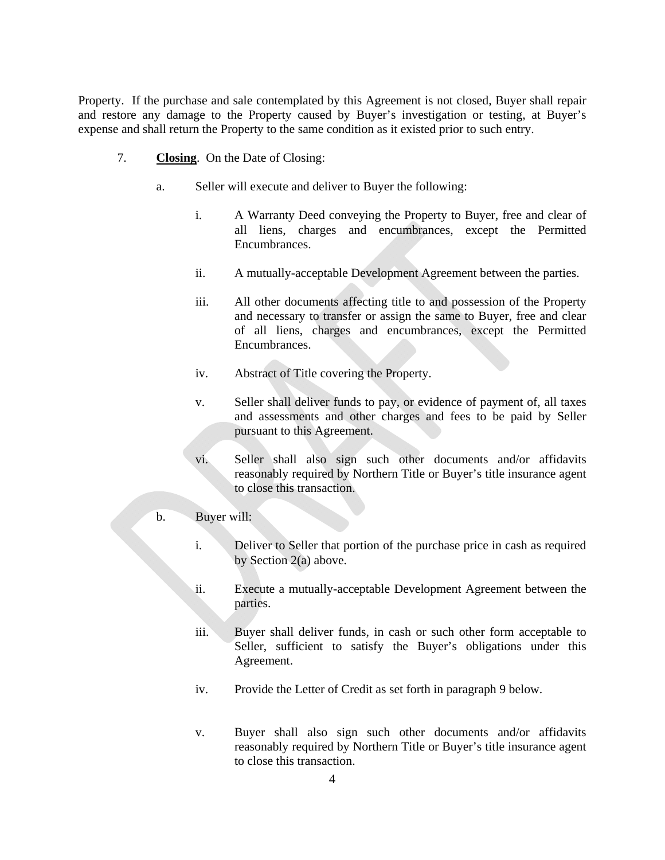Property. If the purchase and sale contemplated by this Agreement is not closed, Buyer shall repair and restore any damage to the Property caused by Buyer's investigation or testing, at Buyer's expense and shall return the Property to the same condition as it existed prior to such entry.

- 7. **Closing**. On the Date of Closing:
	- a. Seller will execute and deliver to Buyer the following:
		- i. A Warranty Deed conveying the Property to Buyer, free and clear of all liens, charges and encumbrances, except the Permitted Encumbrances.
		- ii. A mutually-acceptable Development Agreement between the parties.
		- iii. All other documents affecting title to and possession of the Property and necessary to transfer or assign the same to Buyer, free and clear of all liens, charges and encumbrances, except the Permitted Encumbrances.
		- iv. Abstract of Title covering the Property.
		- v. Seller shall deliver funds to pay, or evidence of payment of, all taxes and assessments and other charges and fees to be paid by Seller pursuant to this Agreement.
		- vi. Seller shall also sign such other documents and/or affidavits reasonably required by Northern Title or Buyer's title insurance agent to close this transaction.

### b. Buyer will:

- i. Deliver to Seller that portion of the purchase price in cash as required by Section 2(a) above.
- ii. Execute a mutually-acceptable Development Agreement between the parties.
- iii. Buyer shall deliver funds, in cash or such other form acceptable to Seller, sufficient to satisfy the Buyer's obligations under this Agreement.
- iv. Provide the Letter of Credit as set forth in paragraph 9 below.
- v. Buyer shall also sign such other documents and/or affidavits reasonably required by Northern Title or Buyer's title insurance agent to close this transaction.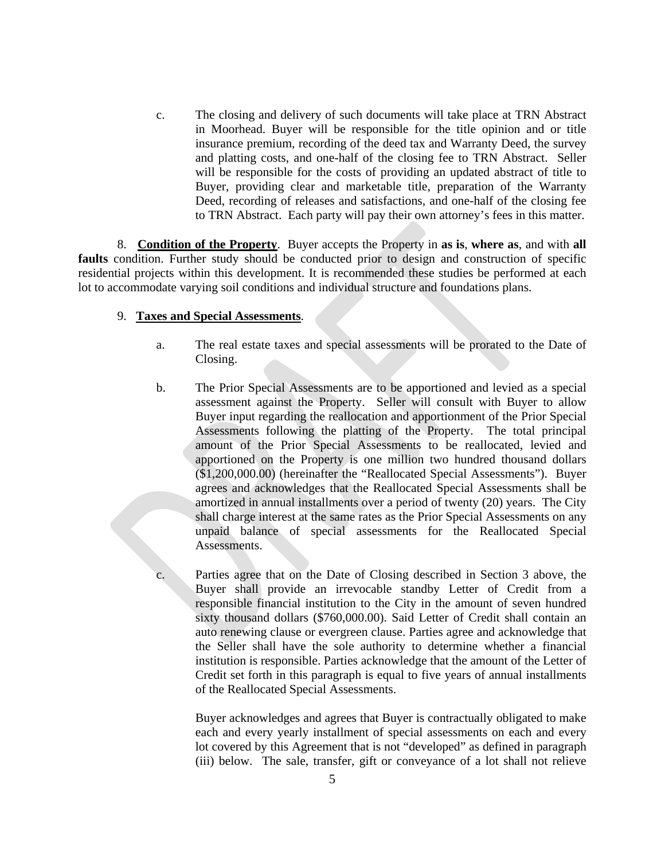c. The closing and delivery of such documents will take place at TRN Abstract in Moorhead. Buyer will be responsible for the title opinion and or title insurance premium, recording of the deed tax and Warranty Deed, the survey and platting costs, and one-half of the closing fee to TRN Abstract. Seller will be responsible for the costs of providing an updated abstract of title to Buyer, providing clear and marketable title, preparation of the Warranty Deed, recording of releases and satisfactions, and one-half of the closing fee to TRN Abstract. Each party will pay their own attorney's fees in this matter.

8. **Condition of the Property**. Buyer accepts the Property in **as is**, **where as**, and with **all**  faults condition. Further study should be conducted prior to design and construction of specific residential projects within this development. It is recommended these studies be performed at each lot to accommodate varying soil conditions and individual structure and foundations plans.

### 9. **Taxes and Special Assessments**.

- a. The real estate taxes and special assessments will be prorated to the Date of Closing.
- b. The Prior Special Assessments are to be apportioned and levied as a special assessment against the Property. Seller will consult with Buyer to allow Buyer input regarding the reallocation and apportionment of the Prior Special Assessments following the platting of the Property. The total principal amount of the Prior Special Assessments to be reallocated, levied and apportioned on the Property is one million two hundred thousand dollars (\$1,200,000.00) (hereinafter the "Reallocated Special Assessments"). Buyer agrees and acknowledges that the Reallocated Special Assessments shall be amortized in annual installments over a period of twenty (20) years. The City shall charge interest at the same rates as the Prior Special Assessments on any unpaid balance of special assessments for the Reallocated Special Assessments.

c. Parties agree that on the Date of Closing described in Section 3 above, the Buyer shall provide an irrevocable standby Letter of Credit from a responsible financial institution to the City in the amount of seven hundred sixty thousand dollars (\$760,000.00). Said Letter of Credit shall contain an auto renewing clause or evergreen clause. Parties agree and acknowledge that the Seller shall have the sole authority to determine whether a financial institution is responsible. Parties acknowledge that the amount of the Letter of Credit set forth in this paragraph is equal to five years of annual installments of the Reallocated Special Assessments.

 Buyer acknowledges and agrees that Buyer is contractually obligated to make each and every yearly installment of special assessments on each and every lot covered by this Agreement that is not "developed" as defined in paragraph (iii) below. The sale, transfer, gift or conveyance of a lot shall not relieve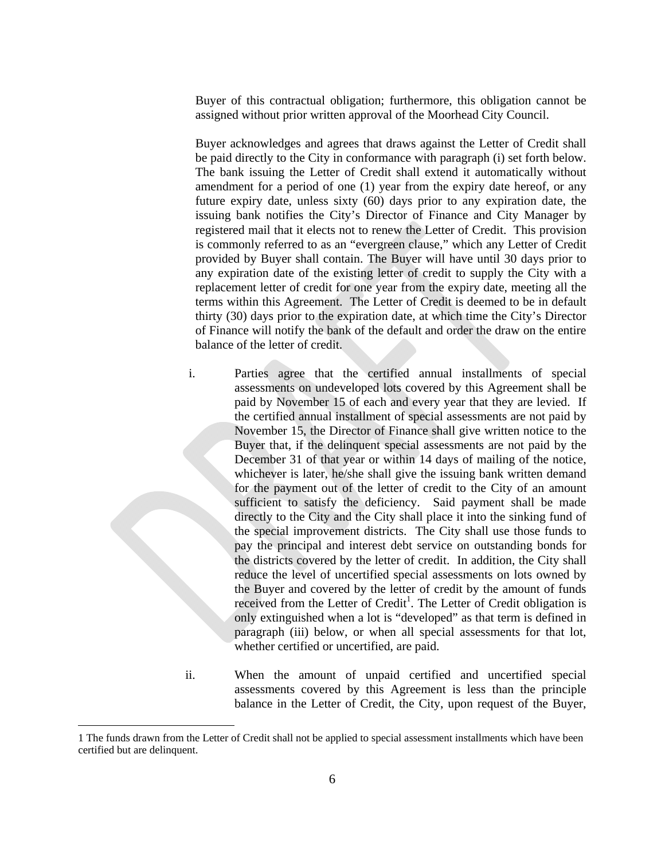Buyer of this contractual obligation; furthermore, this obligation cannot be assigned without prior written approval of the Moorhead City Council.

 Buyer acknowledges and agrees that draws against the Letter of Credit shall be paid directly to the City in conformance with paragraph (i) set forth below. The bank issuing the Letter of Credit shall extend it automatically without amendment for a period of one (1) year from the expiry date hereof, or any future expiry date, unless sixty (60) days prior to any expiration date, the issuing bank notifies the City's Director of Finance and City Manager by registered mail that it elects not to renew the Letter of Credit. This provision is commonly referred to as an "evergreen clause," which any Letter of Credit provided by Buyer shall contain. The Buyer will have until 30 days prior to any expiration date of the existing letter of credit to supply the City with a replacement letter of credit for one year from the expiry date, meeting all the terms within this Agreement. The Letter of Credit is deemed to be in default thirty (30) days prior to the expiration date, at which time the City's Director of Finance will notify the bank of the default and order the draw on the entire balance of the letter of credit.

i. Parties agree that the certified annual installments of special assessments on undeveloped lots covered by this Agreement shall be paid by November 15 of each and every year that they are levied. If the certified annual installment of special assessments are not paid by November 15, the Director of Finance shall give written notice to the Buyer that, if the delinquent special assessments are not paid by the December 31 of that year or within 14 days of mailing of the notice, whichever is later, he/she shall give the issuing bank written demand for the payment out of the letter of credit to the City of an amount sufficient to satisfy the deficiency. Said payment shall be made directly to the City and the City shall place it into the sinking fund of the special improvement districts. The City shall use those funds to pay the principal and interest debt service on outstanding bonds for the districts covered by the letter of credit. In addition, the City shall reduce the level of uncertified special assessments on lots owned by the Buyer and covered by the letter of credit by the amount of funds received from the Letter of Credit<sup>1</sup>. The Letter of Credit obligation is only extinguished when a lot is "developed" as that term is defined in paragraph (iii) below, or when all special assessments for that lot, whether certified or uncertified, are paid.

 $\overline{a}$ 

ii. When the amount of unpaid certified and uncertified special assessments covered by this Agreement is less than the principle balance in the Letter of Credit, the City, upon request of the Buyer,

<sup>1</sup> The funds drawn from the Letter of Credit shall not be applied to special assessment installments which have been certified but are delinquent.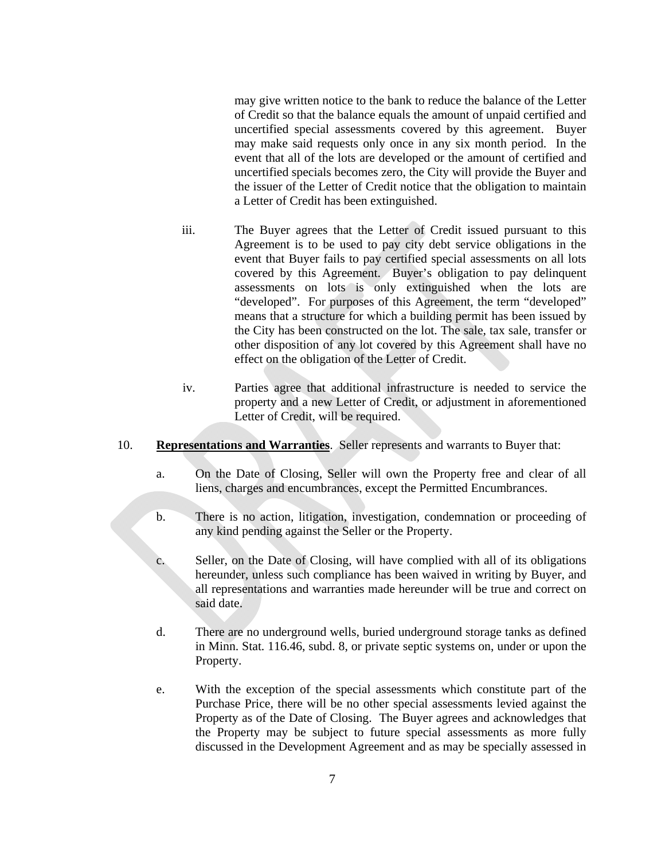may give written notice to the bank to reduce the balance of the Letter of Credit so that the balance equals the amount of unpaid certified and uncertified special assessments covered by this agreement. Buyer may make said requests only once in any six month period. In the event that all of the lots are developed or the amount of certified and uncertified specials becomes zero, the City will provide the Buyer and the issuer of the Letter of Credit notice that the obligation to maintain a Letter of Credit has been extinguished.

- iii. The Buyer agrees that the Letter of Credit issued pursuant to this Agreement is to be used to pay city debt service obligations in the event that Buyer fails to pay certified special assessments on all lots covered by this Agreement. Buyer's obligation to pay delinquent assessments on lots is only extinguished when the lots are "developed". For purposes of this Agreement, the term "developed" means that a structure for which a building permit has been issued by the City has been constructed on the lot. The sale, tax sale, transfer or other disposition of any lot covered by this Agreement shall have no effect on the obligation of the Letter of Credit.
- iv. Parties agree that additional infrastructure is needed to service the property and a new Letter of Credit, or adjustment in aforementioned Letter of Credit, will be required.
- 10. **Representations and Warranties**. Seller represents and warrants to Buyer that:
	- a. On the Date of Closing, Seller will own the Property free and clear of all liens, charges and encumbrances, except the Permitted Encumbrances.
	- b. There is no action, litigation, investigation, condemnation or proceeding of any kind pending against the Seller or the Property.
	- c. Seller, on the Date of Closing, will have complied with all of its obligations hereunder, unless such compliance has been waived in writing by Buyer, and all representations and warranties made hereunder will be true and correct on said date.
	- d. There are no underground wells, buried underground storage tanks as defined in Minn. Stat. 116.46, subd. 8, or private septic systems on, under or upon the Property.
	- e. With the exception of the special assessments which constitute part of the Purchase Price, there will be no other special assessments levied against the Property as of the Date of Closing. The Buyer agrees and acknowledges that the Property may be subject to future special assessments as more fully discussed in the Development Agreement and as may be specially assessed in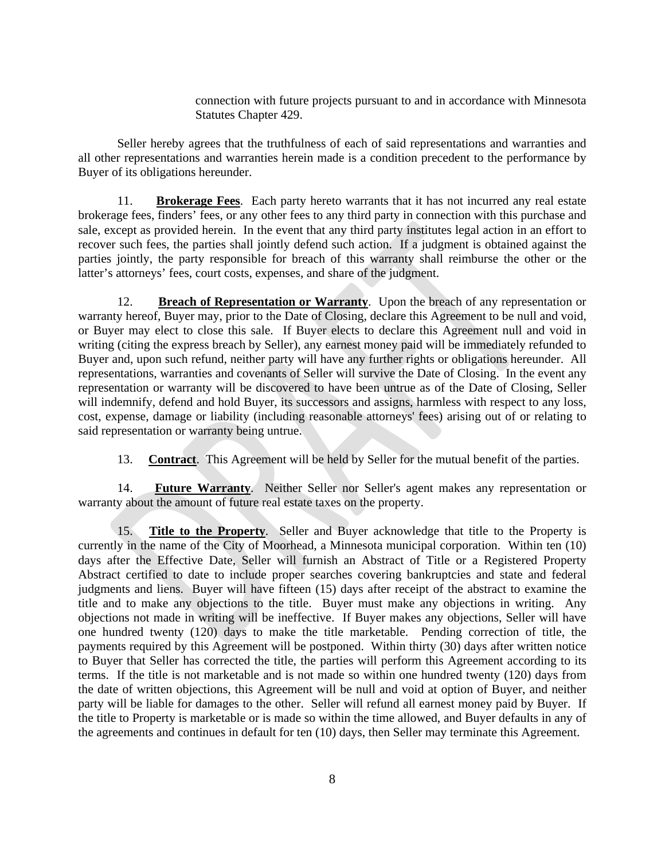connection with future projects pursuant to and in accordance with Minnesota Statutes Chapter 429.

Seller hereby agrees that the truthfulness of each of said representations and warranties and all other representations and warranties herein made is a condition precedent to the performance by Buyer of its obligations hereunder.

11. **Brokerage Fees**. Each party hereto warrants that it has not incurred any real estate brokerage fees, finders' fees, or any other fees to any third party in connection with this purchase and sale, except as provided herein. In the event that any third party institutes legal action in an effort to recover such fees, the parties shall jointly defend such action. If a judgment is obtained against the parties jointly, the party responsible for breach of this warranty shall reimburse the other or the latter's attorneys' fees, court costs, expenses, and share of the judgment.

 12. **Breach of Representation or Warranty**. Upon the breach of any representation or warranty hereof, Buyer may, prior to the Date of Closing, declare this Agreement to be null and void, or Buyer may elect to close this sale. If Buyer elects to declare this Agreement null and void in writing (citing the express breach by Seller), any earnest money paid will be immediately refunded to Buyer and, upon such refund, neither party will have any further rights or obligations hereunder. All representations, warranties and covenants of Seller will survive the Date of Closing. In the event any representation or warranty will be discovered to have been untrue as of the Date of Closing, Seller will indemnify, defend and hold Buyer, its successors and assigns, harmless with respect to any loss, cost, expense, damage or liability (including reasonable attorneys' fees) arising out of or relating to said representation or warranty being untrue.

13. **Contract**. This Agreement will be held by Seller for the mutual benefit of the parties.

14. **Future Warranty**. Neither Seller nor Seller's agent makes any representation or warranty about the amount of future real estate taxes on the property.

15. **Title to the Property**. Seller and Buyer acknowledge that title to the Property is currently in the name of the City of Moorhead, a Minnesota municipal corporation. Within ten (10) days after the Effective Date, Seller will furnish an Abstract of Title or a Registered Property Abstract certified to date to include proper searches covering bankruptcies and state and federal judgments and liens. Buyer will have fifteen (15) days after receipt of the abstract to examine the title and to make any objections to the title. Buyer must make any objections in writing. Any objections not made in writing will be ineffective. If Buyer makes any objections, Seller will have one hundred twenty (120) days to make the title marketable. Pending correction of title, the payments required by this Agreement will be postponed. Within thirty (30) days after written notice to Buyer that Seller has corrected the title, the parties will perform this Agreement according to its terms. If the title is not marketable and is not made so within one hundred twenty (120) days from the date of written objections, this Agreement will be null and void at option of Buyer, and neither party will be liable for damages to the other. Seller will refund all earnest money paid by Buyer. If the title to Property is marketable or is made so within the time allowed, and Buyer defaults in any of the agreements and continues in default for ten (10) days, then Seller may terminate this Agreement.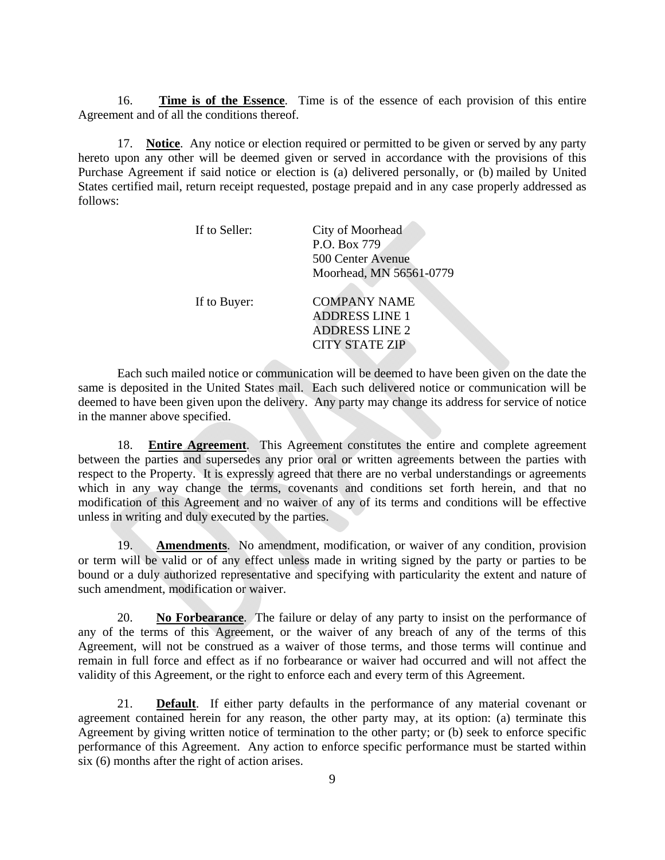16. **Time is of the Essence**. Time is of the essence of each provision of this entire Agreement and of all the conditions thereof.

17. **Notice**. Any notice or election required or permitted to be given or served by any party hereto upon any other will be deemed given or served in accordance with the provisions of this Purchase Agreement if said notice or election is (a) delivered personally, or (b) mailed by United States certified mail, return receipt requested, postage prepaid and in any case properly addressed as follows:

| If to Seller: | City of Moorhead<br>P.O. Box 779<br>500 Center Avenue                                          |
|---------------|------------------------------------------------------------------------------------------------|
|               | Moorhead, MN 56561-0779                                                                        |
| If to Buyer:  | <b>COMPANY NAME</b><br><b>ADDRESS LINE 1</b><br><b>ADDRESS LINE 2</b><br><b>CITY STATE ZIP</b> |

Each such mailed notice or communication will be deemed to have been given on the date the same is deposited in the United States mail. Each such delivered notice or communication will be deemed to have been given upon the delivery. Any party may change its address for service of notice in the manner above specified.

18. **Entire Agreement**. This Agreement constitutes the entire and complete agreement between the parties and supersedes any prior oral or written agreements between the parties with respect to the Property. It is expressly agreed that there are no verbal understandings or agreements which in any way change the terms, covenants and conditions set forth herein, and that no modification of this Agreement and no waiver of any of its terms and conditions will be effective unless in writing and duly executed by the parties.

19. **Amendments**. No amendment, modification, or waiver of any condition, provision or term will be valid or of any effect unless made in writing signed by the party or parties to be bound or a duly authorized representative and specifying with particularity the extent and nature of such amendment, modification or waiver.

20. **No Forbearance**. The failure or delay of any party to insist on the performance of any of the terms of this Agreement, or the waiver of any breach of any of the terms of this Agreement, will not be construed as a waiver of those terms, and those terms will continue and remain in full force and effect as if no forbearance or waiver had occurred and will not affect the validity of this Agreement, or the right to enforce each and every term of this Agreement.

21. **Default**. If either party defaults in the performance of any material covenant or agreement contained herein for any reason, the other party may, at its option: (a) terminate this Agreement by giving written notice of termination to the other party; or (b) seek to enforce specific performance of this Agreement. Any action to enforce specific performance must be started within six (6) months after the right of action arises.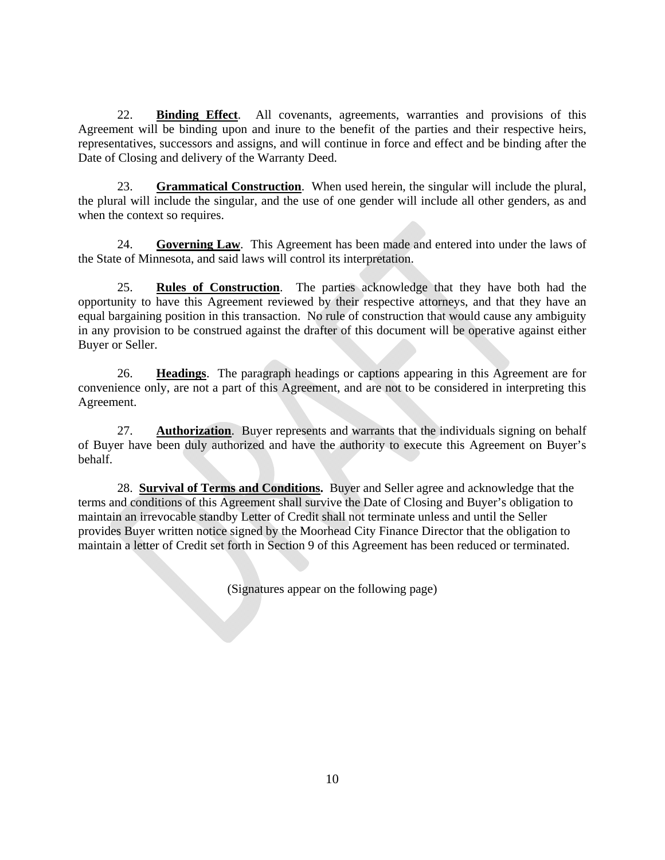22. **Binding Effect**. All covenants, agreements, warranties and provisions of this Agreement will be binding upon and inure to the benefit of the parties and their respective heirs, representatives, successors and assigns, and will continue in force and effect and be binding after the Date of Closing and delivery of the Warranty Deed.

23. **Grammatical Construction**. When used herein, the singular will include the plural, the plural will include the singular, and the use of one gender will include all other genders, as and when the context so requires.

24. **Governing Law**. This Agreement has been made and entered into under the laws of the State of Minnesota, and said laws will control its interpretation.

25. **Rules of Construction**. The parties acknowledge that they have both had the opportunity to have this Agreement reviewed by their respective attorneys, and that they have an equal bargaining position in this transaction. No rule of construction that would cause any ambiguity in any provision to be construed against the drafter of this document will be operative against either Buyer or Seller.

26. **Headings**. The paragraph headings or captions appearing in this Agreement are for convenience only, are not a part of this Agreement, and are not to be considered in interpreting this Agreement.

27. **Authorization**. Buyer represents and warrants that the individuals signing on behalf of Buyer have been duly authorized and have the authority to execute this Agreement on Buyer's behalf.

28. **Survival of Terms and Conditions.** Buyer and Seller agree and acknowledge that the terms and conditions of this Agreement shall survive the Date of Closing and Buyer's obligation to maintain an irrevocable standby Letter of Credit shall not terminate unless and until the Seller provides Buyer written notice signed by the Moorhead City Finance Director that the obligation to maintain a letter of Credit set forth in Section 9 of this Agreement has been reduced or terminated.

(Signatures appear on the following page)